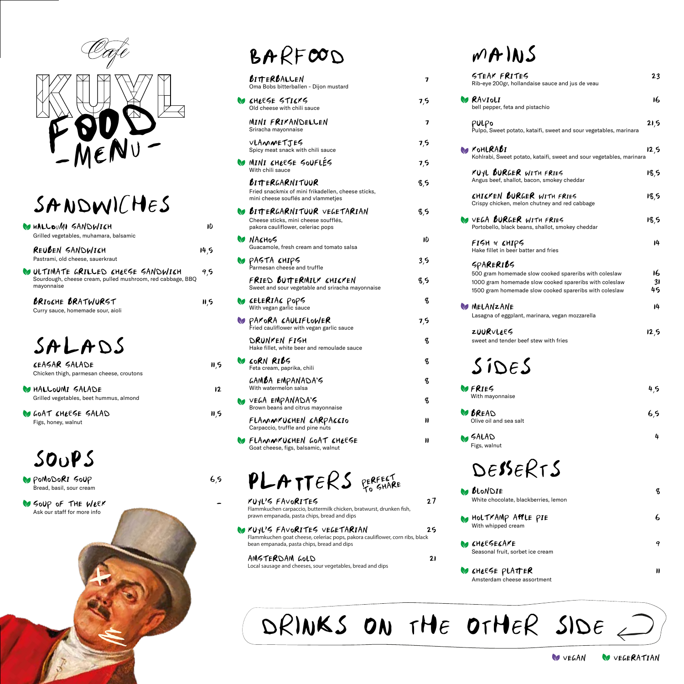

# SANDWICHES

| <b>MALLOUMI SANDWICH</b><br>Grilled vegetables, muhamara, balsamic                                            | ۱D   |
|---------------------------------------------------------------------------------------------------------------|------|
| REUBEN SANDWICH<br>Pastrami, old cheese, sauerkraut                                                           | 14.5 |
| WULTIMATE GRILLED CHEESE SANDWICH<br>Sourdough, cheese cream, pulled mushroom, red cabbage, BBQ<br>mayonnaise | 9,5  |
| <b>BRIOCHE BRATWURST</b><br>Curry sauce, homemade sour, aioli                                                 | 11,5 |
| SALADS                                                                                                        |      |

| <b><i>KEASAR SALADE</i></b><br>Chicken thigh, parmesan cheese, croutons | 11.5 |
|-------------------------------------------------------------------------|------|
| <b>WHALLOUMI SALADE</b><br>Grilled vegetables, beet hummus, almond      | 12   |

X

 $\mathscr{F}$ 

GOAT CHEESE SALAD 11,5 Figs, honey, walnut

## SOUPS

POMODORI SOUP 6,5 Bread, basil, sour cream

**SOUP OF THE WEEK** Ask our staff for more info

### BARFOOD

| BITTERBALLEN<br>Oma Bobs bitterballen - Dijon mustard                                                              | 7   |
|--------------------------------------------------------------------------------------------------------------------|-----|
| <b>W</b> CHEESE STICKS<br>Old cheese with chili sauce                                                              | 7,5 |
| MINI FRIKANDELLEN<br>Sriracha mayonnaise                                                                           | 7   |
| VLAMMETJES<br>Spicy meat snack with chili sauce                                                                    | 7,5 |
| <b>VO MINI CHEESE SOUFLÉS</b><br>With chili sauce                                                                  | 7,5 |
| <b>BITTERGARNITUUR</b><br>Fried snackmix of mini frikadellen, cheese sticks,<br>mini cheese souflés and vlammetjes | 8,5 |
| <b>W BITTERGARNITUUR VEGETARIAN</b><br>Cheese sticks, mini cheese soufflés,<br>pakora cauliflower, celeriac pops   | 8,5 |
| <b>VO NACHOS</b><br>Guacamole, fresh cream and tomato salsa                                                        | IO  |
| PASTA CHIPS<br>Parmesan cheese and truffle                                                                         | 3.5 |
| FRIED BUTTERMILK CHICKEN<br>Sweet and sour vegetable and sriracha mayonnaise                                       | 8,5 |
| <b>CELERIAS</b> PopS<br>With vegan garlic sauce                                                                    | q   |
| <b>BEARORA SAULIFLOWER</b><br>Fried cauliflower with vegan garlic sauce                                            | 7,5 |
| DRUNKEN FIGH<br>Hake fillet, white beer and remoulade sauce                                                        | q   |
| <b>VO CORN RIBS</b><br>Feta cream, paprika, chili                                                                  | q   |
| GAMBA EMPANADA'S<br>With watermelon salsa                                                                          | q   |
| <b>O</b> VEGA EMPANADA'S<br>Brown beans and citrus mayonnaise                                                      | q   |
| FLAMMKUSHEN SARPASSIO<br>Carpaccio, truffle and pine nuts                                                          | n   |
| <b>W FLAMMKUCHEN GOAT CHEESE</b><br>Goat cheese, figs, balsamic, walnut                                            | n   |
| PLATTERS GERFEST                                                                                                   |     |

KUYL'S FAVORITES 27 Flammkuchen carpaccio, buttermilk chicken, bratwurst, drunken fish, prawn empanada, pasta chips, bread and dips

KUYL'S FAVORITES VEGETARIAN 25 Flammkuchen goat cheese, celeriac pops, pakora cauliflower, corn ribs, black bean empanada, pasta chips, bread and dips

AMSTERDAM GOLD 21 Local sausage and cheeses, sour vegetables, bread and dips

## $MAIS$

| " ''' ''V J                                                                                                     |          |
|-----------------------------------------------------------------------------------------------------------------|----------|
| STEAR FRITES<br>Rib-eye 200gr, hollandaise sauce and jus de veau                                                | 23       |
| <b>B</b> RAVIOLI<br>bell pepper, feta and pistachio                                                             | 16       |
| PULPo<br>Pulpo, Sweet potato, kataifi, sweet and sour vegetables, marinara                                      | 21,5     |
| <b>M</b> FOHLRABI<br>Kohlrabi, Sweet potato, kataifi, sweet and sour vegetables, marinara                       | 12,5     |
| KUYL BURGER WITH FRIES<br>Angus beef, shallot, bacon, smokey cheddar                                            | 18,5     |
| CHICKEN BURGER WITH FRIES<br>Crispy chicken, melon chutney and red cabbage                                      | 18,5     |
| <b>VEGA BURGER WITH FRIES</b><br>Portobello, black beans, shallot, smokey cheddar                               | 18,5     |
| FISH & &HIPS<br>Hake fillet in beer batter and fries                                                            | 14       |
| SPARERIBS                                                                                                       |          |
| 500 gram homemade slow cooked spareribs with coleslaw<br>1000 gram homemade slow cooked spareribs with coleslaw | 16<br>31 |
| 1500 gram homemade slow cooked spareribs with coleslaw                                                          | 45       |
| <b>W</b> MELANZANE<br>Lasagna of eggplant, marinara, vegan mozzarella                                           | 14       |
| ZUURVLEES<br>sweet and tender beef stew with fries                                                              | 12,5     |
| SineS                                                                                                           |          |
| <b>VO FRIES</b><br>With mayonnaise                                                                              |          |
| <b>W BREAD</b><br>Olive oil and sea salt                                                                        | 6,5      |
| <b>M</b> SALAD<br>Figs, walnut                                                                                  | 4        |
| DESSERTS                                                                                                        |          |
| <b>M</b> BLONDIE<br>White chocolate, blackberries, lemon                                                        | q        |
| MOLTKAMP APPLE PIE<br>With whipped cream                                                                        | 6        |
| <b>M</b> CHEESECAKE<br>Seasonal fruit, sorbet ice cream                                                         | 9        |
| <b>W</b> CHEESE PLATTER<br>Amsterdam cheese assortment                                                          | Н        |

DRINKS ON THE OTHER SIDE  $\bigcirc$